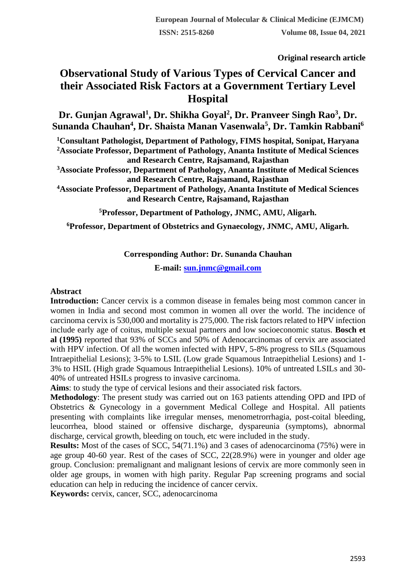**Original research article** 

# **Observational Study of Various Types of Cervical Cancer and their Associated Risk Factors at a Government Tertiary Level Hospital**

**Dr. Gunjan Agrawal<sup>1</sup> , Dr. Shikha Goyal<sup>2</sup> , Dr. Pranveer Singh Rao<sup>3</sup> , Dr. Sunanda Chauhan<sup>4</sup> , Dr. Shaista Manan Vasenwala<sup>5</sup> , Dr. Tamkin Rabbani<sup>6</sup>**

**<sup>1</sup>Consultant Pathologist, Department of Pathology, FIMS hospital, Sonipat, Haryana <sup>2</sup>Associate Professor, Department of Pathology, Ananta Institute of Medical Sciences and Research Centre, Rajsamand, Rajasthan**

**<sup>3</sup>Associate Professor, Department of Pathology, Ananta Institute of Medical Sciences and Research Centre, Rajsamand, Rajasthan**

**<sup>4</sup>Associate Professor, Department of Pathology, Ananta Institute of Medical Sciences and Research Centre, Rajsamand, Rajasthan**

**<sup>5</sup>Professor, Department of Pathology, JNMC, AMU, Aligarh.**

**<sup>6</sup>Professor, Department of Obstetrics and Gynaecology, JNMC, AMU, Aligarh.**

## **Corresponding Author: Dr. Sunanda Chauhan**

**E-mail: [sun.jnmc@gmail.com](mailto:sun.jnmc@gmail.com)**

#### **Abstract**

**Introduction:** Cancer cervix is a common disease in females being most common cancer in women in India and second most common in women all over the world. The incidence of carcinoma cervix is 530,000 and mortality is 275,000. The risk factors related to HPV infection include early age of coitus, multiple sexual partners and low socioeconomic status. **Bosch et al (1995)** reported that 93% of SCCs and 50% of Adenocarcinomas of cervix are associated with HPV infection. Of all the women infected with HPV, 5-8% progress to SILs (Squamous Intraepithelial Lesions); 3-5% to LSIL (Low grade Squamous Intraepithelial Lesions) and 1- 3% to HSIL (High grade Squamous Intraepithelial Lesions). 10% of untreated LSILs and 30- 40% of untreated HSILs progress to invasive carcinoma.

**Aims**: to study the type of cervical lesions and their associated risk factors.

**Methodology**: The present study was carried out on 163 patients attending OPD and IPD of Obstetrics & Gynecology in a government Medical College and Hospital. All patients presenting with complaints like irregular menses, menometrorrhagia, post-coital bleeding, leucorrhea, blood stained or offensive discharge, dyspareunia (symptoms), abnormal discharge, cervical growth, bleeding on touch, etc were included in the study.

**Results:** Most of the cases of SCC, 54(71.1%) and 3 cases of adenocarcinoma (75%) were in age group 40-60 year. Rest of the cases of SCC, 22(28.9%) were in younger and older age group. Conclusion: premalignant and malignant lesions of cervix are more commonly seen in older age groups, in women with high parity. Regular Pap screening programs and social education can help in reducing the incidence of cancer cervix.

**Keywords:** cervix, cancer, SCC, adenocarcinoma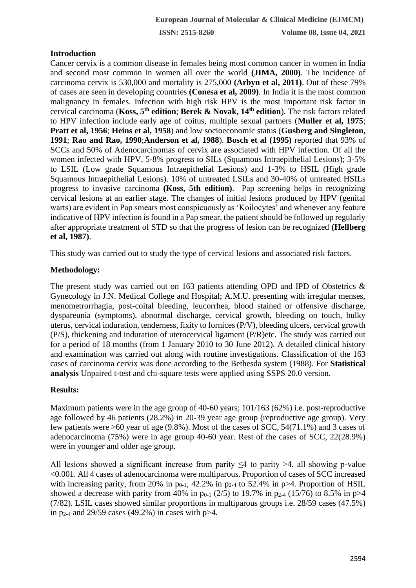# **Introduction**

Cancer cervix is a common disease in females being most common cancer in women in India and second most common in women all over the world **(JIMA, 2000)**. The incidence of carcinoma cervix is 530,000 and mortality is 275,000 **(Arbyn et al, 2011)**. Out of these 79% of cases are seen in developing countries **(Conesa et al, 2009)**. In India it is the most common malignancy in females. Infection with high risk HPV is the most important risk factor in cervical carcinoma (**Koss, 5th edition**; **Berek & Novak, 14th edition**). The risk factors related to HPV infection include early age of coitus, multiple sexual partners (**Muller et al, 1975**; **Pratt et al, 1956**; **Heins et al, 1958**) and low socioeconomic status (**Gusberg and Singleton, 1991**; **Rao and Rao, 1990**;**Anderson et al, 1988**). **Bosch et al (1995)** reported that 93% of SCCs and 50% of Adenocarcinomas of cervix are associated with HPV infection. Of all the women infected with HPV, 5-8% progress to SILs (Squamous Intraepithelial Lesions); 3-5% to LSIL (Low grade Squamous Intraepithelial Lesions) and 1-3% to HSIL (High grade Squamous Intraepithelial Lesions). 10% of untreated LSILs and 30-40% of untreated HSILs progress to invasive carcinoma **(Koss, 5th edition)**. Pap screening helps in recognizing cervical lesions at an earlier stage. The changes of initial lesions produced by HPV (genital warts) are evident in Pap smears most conspicuously as 'Koilocytes' and whenever any feature indicative of HPV infection is found in a Pap smear, the patient should be followed up regularly after appropriate treatment of STD so that the progress of lesion can be recognized **(Hellberg et al, 1987)**.

This study was carried out to study the type of cervical lesions and associated risk factors.

## **Methodology:**

The present study was carried out on 163 patients attending OPD and IPD of Obstetrics & Gynecology in J.N. Medical College and Hospital; A.M.U. presenting with irregular menses, menometrorrhagia, post-coital bleeding, leucorrhea, blood stained or offensive discharge, dyspareunia (symptoms), abnormal discharge, cervical growth, bleeding on touch, bulky uterus, cervical induration, tenderness, fixity to fornices (P/V), bleeding ulcers, cervical growth (P/S), thickening and induration of uterocervical ligament (P/R)etc. The study was carried out for a period of 18 months (from 1 January 2010 to 30 June 2012). A detailed clinical history and examination was carried out along with routine investigations. Classification of the 163 cases of carcinoma cervix was done according to the Bethesda system (1988). For **Statistical analysis** Unpaired t-test and chi-square tests were applied using SSPS 20.0 version.

# **Results:**

Maximum patients were in the age group of 40-60 years; 101/163 (62%) i.e. post-reproductive age followed by 46 patients (28.2%) in 20-39 year age group (reproductive age group). Very few patients were >60 year of age (9.8%). Most of the cases of SCC, 54(71.1%) and 3 cases of adenocarcinoma (75%) were in age group 40-60 year. Rest of the cases of SCC, 22(28.9%) were in younger and older age group.

All lesions showed a significant increase from parity  $\leq 4$  to parity  $>4$ , all showing p-value <0.001. All 4 cases of adenocarcinoma were multiparous. Proportion of cases of SCC increased with increasing parity, from 20% in  $p_{0-1}$ , 42.2% in  $p_{2-4}$  to 52.4% in p>4. Proportion of HSIL showed a decrease with parity from 40% in  $p_{0-1}$  (2/5) to 19.7% in  $p_{2-4}$  (15/76) to 8.5% in  $p>4$ (7/82). LSIL cases showed similar proportions in multiparous groups i.e. 28/59 cases (47.5%) in  $p_{2-4}$  and 29/59 cases (49.2%) in cases with  $p>4$ .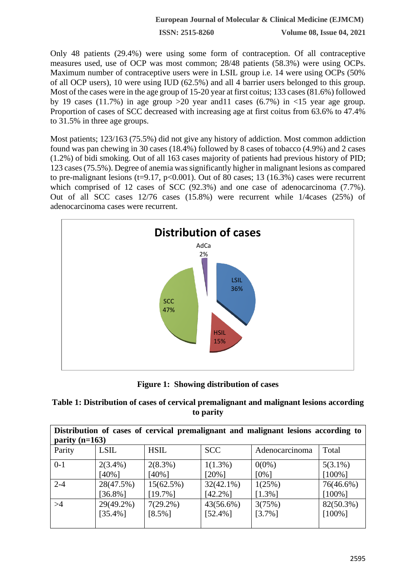**ISSN: 2515-8260 Volume 08, Issue 04, 2021**

Only 48 patients (29.4%) were using some form of contraception. Of all contraceptive measures used, use of OCP was most common; 28/48 patients (58.3%) were using OCPs. Maximum number of contraceptive users were in LSIL group i.e. 14 were using OCPs (50% of all OCP users), 10 were using IUD (62.5%) and all 4 barrier users belonged to this group. Most of the cases were in the age group of 15-20 year at first coitus; 133 cases (81.6%) followed by 19 cases (11.7%) in age group  $>20$  year and 11 cases (6.7%) in  $<15$  year age group. Proportion of cases of SCC decreased with increasing age at first coitus from 63.6% to 47.4% to 31.5% in three age groups.

Most patients; 123/163 (75.5%) did not give any history of addiction. Most common addiction found was pan chewing in 30 cases (18.4%) followed by 8 cases of tobacco (4.9%) and 2 cases (1.2%) of bidi smoking. Out of all 163 cases majority of patients had previous history of PID; 123 cases (75.5%). Degree of anemia was significantly higher in malignant lesions as compared to pre-malignant lesions ( $t=9.17$ ,  $p<0.001$ ). Out of 80 cases; 13 (16.3%) cases were recurrent which comprised of 12 cases of SCC (92.3%) and one case of adenocarcinoma (7.7%). Out of all SCC cases 12/76 cases (15.8%) were recurrent while 1/4cases (25%) of adenocarcinoma cases were recurrent.



**Figure 1: Showing distribution of cases**

| Table 1: Distribution of cases of cervical premalignant and malignant lesions according |
|-----------------------------------------------------------------------------------------|
| to parity                                                                               |

| Distribution of cases of cervical premalignant and malignant lesions according to<br>parity $(n=163)$ |             |             |              |                |            |  |
|-------------------------------------------------------------------------------------------------------|-------------|-------------|--------------|----------------|------------|--|
| Parity                                                                                                | <b>LSIL</b> | <b>HSIL</b> | <b>SCC</b>   | Adenocarcinoma | Total      |  |
| $0-1$                                                                                                 | $2(3.4\%)$  | $2(8.3\%)$  | $1(1.3\%)$   | $0(0\%)$       | $5(3.1\%)$ |  |
|                                                                                                       | $[40\%]$    | $[40\%]$    | $[20\%]$     | $[0\%]$        | $[100\%]$  |  |
| $2 - 4$                                                                                               | 28(47.5%)   | 15(62.5%)   | $32(42.1\%)$ | 1(25%)         | 76(46.6%)  |  |
|                                                                                                       | $[36.8\%]$  | $[19.7\%]$  | $[42.2\%]$   | $[1.3\%]$      | $[100\%]$  |  |
| >4                                                                                                    | 29(49.2%)   | $7(29.2\%)$ | 43(56.6%)    | 3(75%)         | 82(50.3%)  |  |
|                                                                                                       | $[35.4\%]$  | $[8.5\%]$   | $[52.4\%]$   | $[3.7\%]$      | $[100\%]$  |  |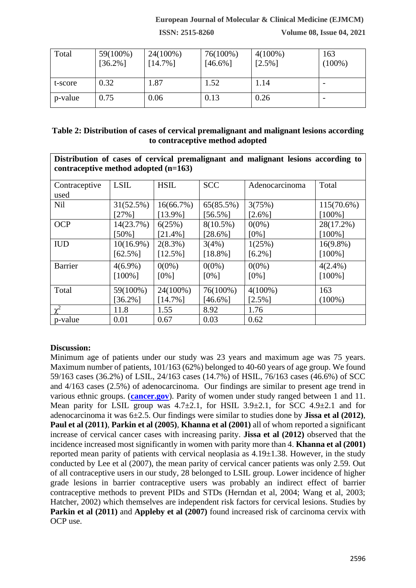#### **European Journal of Molecular & Clinical Medicine (EJMCM)**

**ISSN: 2515-8260 Volume 08, Issue 04, 2021**

| Total   | 59(100%)<br>$[36.2\%]$ | 24(100%)<br>$[14.7\%]$ | 76(100%)<br>$[46.6\%]$ | $4(100\%)$<br>$[2.5\%]$ | 163<br>$(100\%)$ |
|---------|------------------------|------------------------|------------------------|-------------------------|------------------|
|         |                        |                        |                        |                         |                  |
| t-score | 0.32                   | 1.87                   | 1.52                   | 1.14                    |                  |
| p-value | 0.75                   | 0.06                   | 0.13                   | 0.26                    |                  |

#### **Table 2: Distribution of cases of cervical premalignant and malignant lesions according to contraceptive method adopted**

| Distribution of cases of cervical premalignant and malignant lesions according to<br>contraceptive method adopted $(n=163)$ |              |             |             |                |               |  |
|-----------------------------------------------------------------------------------------------------------------------------|--------------|-------------|-------------|----------------|---------------|--|
| Contraceptive                                                                                                               | <b>LSIL</b>  | <b>HSIL</b> | <b>SCC</b>  | Adenocarcinoma | Total         |  |
| used                                                                                                                        |              |             |             |                |               |  |
| <b>Nil</b>                                                                                                                  | 31(52.5%)    | 16(66.7%)   | 65(85.5%)   | 3(75%)         | $115(70.6\%)$ |  |
|                                                                                                                             | [27%]        | $[13.9\%]$  | $[56.5\%]$  | $[2.6\%]$      | $[100\%]$     |  |
| <b>OCP</b>                                                                                                                  | 14(23.7%)    | 6(25%)      | $8(10.5\%)$ | $0(0\%)$       | 28(17.2%)     |  |
|                                                                                                                             | $150%$ ]     | $[21.4\%]$  | $[28.6\%]$  | $[0\%]$        | $[100\%]$     |  |
| <b>IUD</b>                                                                                                                  | $10(16.9\%)$ | $2(8.3\%)$  | 3(4%)       | 1(25%)         | $16(9.8\%)$   |  |
|                                                                                                                             | $[62.5\%]$   | $[12.5\%]$  | $[18.8\%]$  | $[6.2\%]$      | $[100\%]$     |  |
| <b>Barrier</b>                                                                                                              | $4(6.9\%)$   | $0(0\%)$    | $0(0\%)$    | $0(0\%)$       | $4(2.4\%)$    |  |
|                                                                                                                             | $[100\%]$    | $[0\%]$     | $[0\%]$     | $[0\%]$        | $[100\%]$     |  |
| Total                                                                                                                       | 59(100%)     | 24(100%)    | 76(100%)    | $4(100\%)$     | 163           |  |
|                                                                                                                             | $[36.2\%]$   | $[14.7\%]$  | $[46.6\%]$  | $[2.5\%]$      | $(100\%)$     |  |
| $\gamma^2$                                                                                                                  | 11.8         | 1.55        | 8.92        | 1.76           |               |  |
| p-value                                                                                                                     | 0.01         | 0.67        | 0.03        | 0.62           |               |  |

## **Discussion:**

Minimum age of patients under our study was 23 years and maximum age was 75 years. Maximum number of patients, 101/163 (62%) belonged to 40-60 years of age group. We found 59/163 cases (36.2%) of LSIL, 24/163 cases (14.7%) of HSIL, 76/163 cases (46.6%) of SCC and 4/163 cases (2.5%) of adenocarcinoma. Our findings are similar to present age trend in various ethnic groups. (**[cancer.gov](http://seer.cancer.gov/statfacts/html/cervix.html)**). Parity of women under study ranged between 1 and 11. Mean parity for LSIL group was  $4.7\pm2.1$ , for HSIL  $3.9\pm2.1$ , for SCC  $4.9\pm2.1$  and for adenocarcinoma it was 6±2.5. Our findings were similar to studies done by **Jissa et al (2012)**, **Paul et al (2011)**, **Parkin et al (2005)**, **Khanna et al (2001)** all of whom reported a significant increase of cervical cancer cases with increasing parity. **Jissa et al (2012)** observed that the incidence increased most significantly in women with parity more than 4. **Khanna et al (2001)** reported mean parity of patients with cervical neoplasia as  $4.19\pm1.38$ . However, in the study conducted by Lee et al (2007), the mean parity of cervical cancer patients was only 2.59. Out of all contraceptive users in our study, 28 belonged to LSIL group. Lower incidence of higher grade lesions in barrier contraceptive users was probably an indirect effect of barrier contraceptive methods to prevent PIDs and STDs (Herndan et al, 2004; Wang et al, 2003; Hatcher, 2002) which themselves are independent risk factors for cervical lesions. Studies by **Parkin et al (2011)** and **Appleby et al (2007)** found increased risk of carcinoma cervix with OCP use.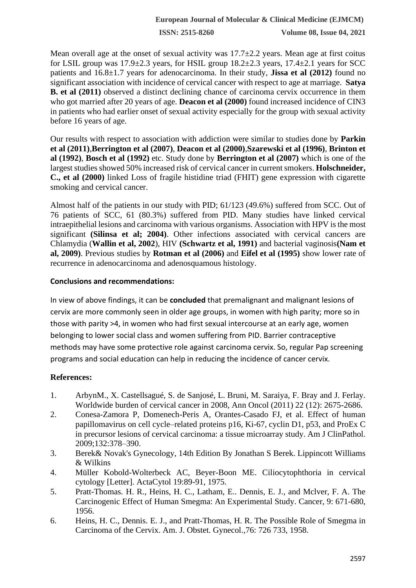**ISSN: 2515-8260 Volume 08, Issue 04, 2021**

Mean overall age at the onset of sexual activity was  $17.7\pm 2.2$  years. Mean age at first coitus for LSIL group was  $17.9\pm 2.3$  years, for HSIL group  $18.2\pm 2.3$  years,  $17.4\pm 2.1$  years for SCC patients and 16.8±1.7 years for adenocarcinoma. In their study, **Jissa et al (2012)** found no significant association with incidence of cervical cancer with respect to age at marriage. **Satya B. et al (2011)** observed a distinct declining chance of carcinoma cervix occurrence in them who got married after 20 years of age. **Deacon et al (2000)** found increased incidence of CIN3 in patients who had earlier onset of sexual activity especially for the group with sexual activity before 16 years of age.

Our results with respect to association with addiction were similar to studies done by **Parkin et al (2011)**,**Berrington et al (2007)**, **Deacon et al (2000)**,**Szarewski et al (1996)**, **Brinton et al (1992)**, **Bosch et al (1992)** etc. Study done by **Berrington et al (2007)** which is one of the largest studies showed 50% increased risk of cervical cancer in current smokers. **Holschneider, C., et al (2000)** linked Loss of fragile histidine triad (FHIT) gene expression with cigarette smoking and cervical cancer.

Almost half of the patients in our study with PID; 61/123 (49.6%) suffered from SCC. Out of 76 patients of SCC, 61 (80.3%) suffered from PID. Many studies have linked cervical intraepithelial lesions and carcinoma with various organisms. Association with HPV is the most significant **(Silinsa et al; 2004)**. Other infections associated with cervical cancers are Chlamydia (**Wallin et al, 2002**), HIV **(Schwartz et al, 1991)** and bacterial vaginosis**(Nam et al, 2009)**. Previous studies by **Rotman et al (2006)** and **Eifel et al (1995)** show lower rate of recurrence in adenocarcinoma and adenosquamous histology.

## **Conclusions and recommendations:**

In view of above findings, it can be **concluded** that premalignant and malignant lesions of cervix are more commonly seen in older age groups, in women with high parity; more so in those with parity >4, in women who had first sexual intercourse at an early age, women belonging to lower social class and women suffering from PID. Barrier contraceptive methods may have some protective role against carcinoma cervix. So, regular Pap screening programs and social education can help in reducing the incidence of cancer cervix.

# **References:**

- 1. ArbynM., X. Castellsagué, S. de Sanjosé, L. Bruni, M. Saraiya, F. Bray and J. Ferlay. Worldwide burden of cervical cancer in 2008, Ann Oncol (2011) 22 (12): 2675-2686.
- 2. Conesa-Zamora P, Domenech-Peris A, Orantes-Casado FJ, et al. Effect of human papillomavirus on cell cycle–related proteins p16, Ki-67, cyclin D1, p53, and ProEx C in precursor lesions of cervical carcinoma: a tissue microarray study. Am J ClinPathol. 2009;132:378–390.
- 3. Berek& Novak's Gynecology, 14th Edition By Jonathan S Berek. Lippincott Williams & Wilkins
- 4. Müller Kobold-Wolterbeck AC, Beyer-Boon ME. Ciliocytophthoria in cervical cytology [Letter]. ActaCytol 19:89-91, 1975.
- 5. Pratt-Thomas. H. R., Heins, H. C., Latham, E.. Dennis, E. J., and Mclver, F. A. The Carcinogenic Effect of Human Smegma: An Experimental Study. Cancer, 9: 671-680, 1956.
- 6. Heins, H. C., Dennis. E. J., and Pratt-Thomas, H. R. The Possible Role of Smegma in Carcinoma of the Cervix. Am. J. Obstet. Gynecol.,76: 726 733, 1958.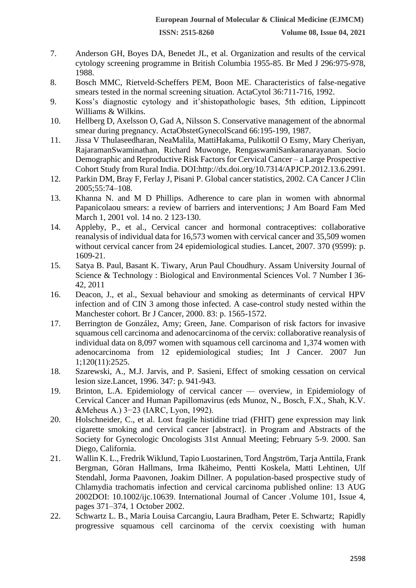- 7. Anderson GH, Boyes DA, Benedet JL, et al. Organization and results of the cervical cytology screening programme in British Columbia 1955-85. Br Med J 296:975-978, 1988.
- 8. Bosch MMC, Rietveld-Scheffers PEM, Boon ME. Characteristics of false-negative smears tested in the normal screening situation. ActaCytol 36:711-716, 1992.
- 9. Koss's diagnostic cytology and it'shistopathologic bases, 5th edition, Lippincott Williams & Wilkins.
- 10. Hellberg D, Axelsson O, Gad A, Nilsson S. Conservative management of the abnormal smear during pregnancy. ActaObstetGynecolScand 66:195-199, 1987.
- 11. Jissa V Thulaseedharan, NeaMalila, MattiHakama, Pulikottil O Esmy, Mary Cheriyan, RajaramanSwaminathan, Richard Muwonge, RengaswamiSankaranarayanan. Socio Demographic and Reproductive Risk Factors for Cervical Cancer – a Large Prospective Cohort Study from Rural India. DOI:http://dx.doi.org/10.7314/APJCP.2012.13.6.2991.
- 12. Parkin DM, Bray F, Ferlay J, Pisani P. Global cancer statistics, 2002. CA Cancer J Clin 2005;55:74–108.
- 13. Khanna N. and M D Phillips. Adherence to care plan in women with abnormal Papanicolaou smears: a review of barriers and interventions; J Am Board Fam Med March 1, 2001 vol. 14 no. 2 123-130.
- 14. Appleby, P., et al., Cervical cancer and hormonal contraceptives: collaborative reanalysis of individual data for 16,573 women with cervical cancer and 35,509 women without cervical cancer from 24 epidemiological studies. Lancet, 2007. 370 (9599): p. 1609-21.
- 15. Satya B. Paul, Basant K. Tiwary, Arun Paul Choudhury. Assam University Journal of Science & Technology : Biological and Environmental Sciences Vol. 7 Number I 36- 42, 2011
- 16. Deacon, J., et al., Sexual behaviour and smoking as determinants of cervical HPV infection and of CIN 3 among those infected. A case-control study nested within the Manchester cohort. Br J Cancer, 2000. 83: p. 1565-1572.
- 17. Berrington de González, Amy; Green, Jane. Comparison of risk factors for invasive squamous cell carcinoma and adenocarcinoma of the cervix: collaborative reanalysis of individual data on 8,097 women with squamous cell carcinoma and 1,374 women with adenocarcinoma from 12 epidemiological studies; Int J Cancer. 2007 Jun 1;120(11):2525.
- 18. Szarewski, A., M.J. Jarvis, and P. Sasieni, Effect of smoking cessation on cervical lesion size.Lancet, 1996. 347: p. 941-943.
- 19. Brinton, L.A. Epidemiology of cervical cancer overview, in Epidemiology of Cervical Cancer and Human Papillomavirus (eds Munoz, N., Bosch, F.X., Shah, K.V. &Meheus A.) 3−23 (IARC, Lyon, 1992).
- 20. Holschneider, C., et al. Lost fragile histidine triad (FHIT) gene expression may link cigarette smoking and cervical cancer [abstract]. in Program and Abstracts of the Society for Gynecologic Oncologists 31st Annual Meeting; February 5-9. 2000. San Diego, California.
- 21. Wallin K. L., Fredrik Wiklund, Tapio Luostarinen, Tord Ångström, Tarja Anttila, Frank Bergman, Göran Hallmans, Irma Ikäheimo, Pentti Koskela, Matti Lehtinen, Ulf Stendahl, Jorma Paavonen, Joakim Dillner. A population-based prospective study of Chlamydia trachomatis infection and cervical carcinoma published online: 13 AUG 2002DOI: 10.1002/ijc.10639. International Journal of Cancer .Volume 101, Issue 4, pages 371–374, 1 October 2002.
- 22. Schwartz L. B., Maria Louisa Carcangiu, Laura Bradham, Peter E. Schwartz; Rapidly progressive squamous cell carcinoma of the cervix coexisting with human